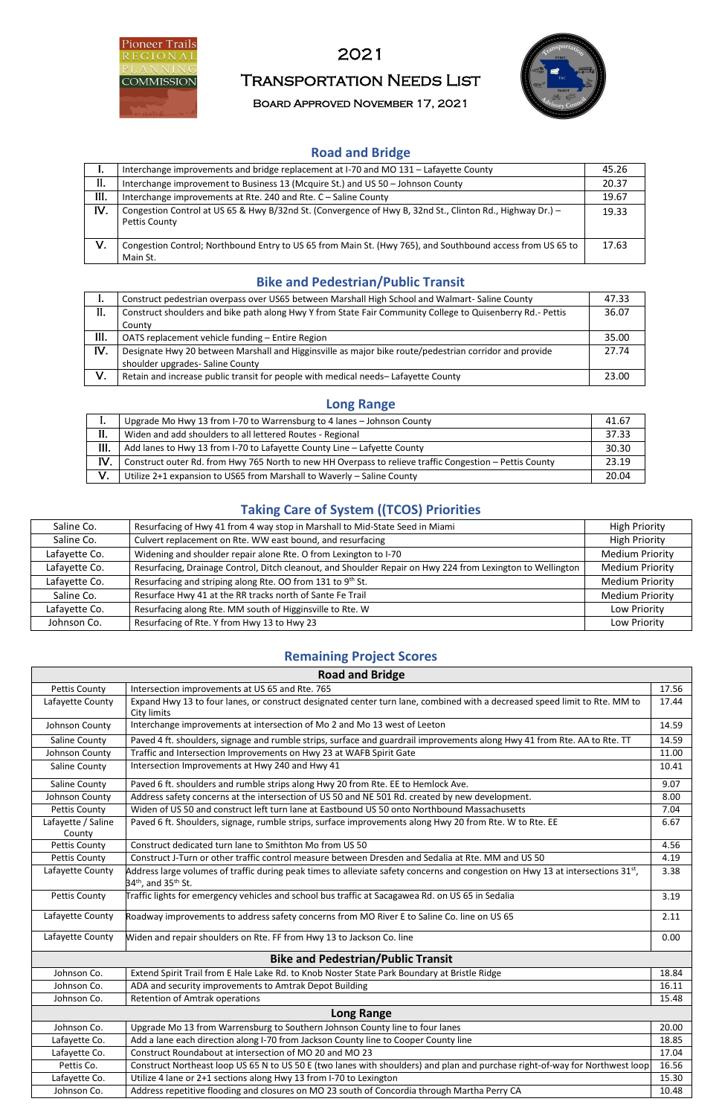

# 2021

# Transportation Needs List

Board Approved November 17, 2021



#### **Road and Bridge**

| ı.   | Interchange improvements and bridge replacement at I-70 and MO 131 - Lafayette County                                      | 45.26 |
|------|----------------------------------------------------------------------------------------------------------------------------|-------|
| II.  | Interchange improvement to Business 13 (Mcquire St.) and US 50 - Johnson County                                            | 20.37 |
| III. | Interchange improvements at Rte. 240 and Rte. C - Saline County                                                            | 19.67 |
| IV.  | Congestion Control at US 65 & Hwy B/32nd St. (Convergence of Hwy B, 32nd St., Clinton Rd., Highway Dr.) -<br>Pettis County | 19.33 |
| V.   | Congestion Control; Northbound Entry to US 65 from Main St. (Hwy 765), and Southbound access from US 65 to<br>Main St.     | 17.63 |

#### **Bike and Pedestrian/Public Transit**

|      | Construct pedestrian overpass over US65 between Marshall High School and Walmart-Saline County             | 47.33 |
|------|------------------------------------------------------------------------------------------------------------|-------|
| II.  | Construct shoulders and bike path along Hwy Y from State Fair Community College to Quisenberry Rd.- Pettis | 36.07 |
|      | County                                                                                                     |       |
| III. | OATS replacement vehicle funding - Entire Region                                                           | 35.00 |
| IV.  | Designate Hwy 20 between Marshall and Higginsville as major bike route/pedestrian corridor and provide     | 27.74 |
|      | shoulder upgrades- Saline County                                                                           |       |
| V.   | Retain and increase public transit for people with medical needs-Lafayette County                          | 23.00 |
|      |                                                                                                            |       |

#### **Long Range**

|      | Upgrade Mo Hwy 13 from I-70 to Warrensburg to 4 lanes - Johnson County                                  | 41.67 |
|------|---------------------------------------------------------------------------------------------------------|-------|
| II.  | Widen and add shoulders to all lettered Routes - Regional                                               | 37.33 |
| III. | Add lanes to Hwy 13 from I-70 to Lafayette County Line - Lafyette County                                | 30.30 |
| IV.  | Construct outer Rd. from Hwy 765 North to new HH Overpass to relieve traffic Congestion - Pettis County | 23.19 |
| V.   | Utilize 2+1 expansion to US65 from Marshall to Waverly - Saline County                                  | 20.04 |

## **Taking Care of System ((TCOS) Priorities**

| Saline Co.    | Resurfacing of Hwy 41 from 4 way stop in Marshall to Mid-State Seed in Miami                               | <b>High Priority</b>   |
|---------------|------------------------------------------------------------------------------------------------------------|------------------------|
| Saline Co.    | Culvert replacement on Rte. WW east bound, and resurfacing                                                 | <b>High Priority</b>   |
| Lafayette Co. | Widening and shoulder repair alone Rte. O from Lexington to I-70                                           | <b>Medium Priority</b> |
| Lafayette Co. | Resurfacing, Drainage Control, Ditch cleanout, and Shoulder Repair on Hwy 224 from Lexington to Wellington | <b>Medium Priority</b> |
| Lafayette Co. | Resurfacing and striping along Rte. OO from 131 to 9th St.                                                 | <b>Medium Priority</b> |
| Saline Co.    | Resurface Hwy 41 at the RR tracks north of Sante Fe Trail                                                  | <b>Medium Priority</b> |
| Lafayette Co. | Resurfacing along Rte. MM south of Higginsville to Rte. W                                                  | Low Priority           |
| Johnson Co.   | Resurfacing of Rte. Y from Hwy 13 to Hwy 23                                                                | Low Priority           |

### **Remaining Project Scores**

| <b>Road and Bridge</b>       |                                                                                                                                                                  |       |  |
|------------------------------|------------------------------------------------------------------------------------------------------------------------------------------------------------------|-------|--|
| <b>Pettis County</b>         | Intersection improvements at US 65 and Rte. 765                                                                                                                  | 17.56 |  |
| Lafayette County             | Expand Hwy 13 to four lanes, or construct designated center turn lane, combined with a decreased speed limit to Rte. MM to<br>City limits                        | 17.44 |  |
| Johnson County               | Interchange improvements at intersection of Mo 2 and Mo 13 west of Leeton                                                                                        | 14.59 |  |
| <b>Saline County</b>         | Paved 4 ft. shoulders, signage and rumble strips, surface and guardrail improvements along Hwy 41 from Rte. AA to Rte. TT                                        | 14.59 |  |
| Johnson County               | Traffic and Intersection Improvements on Hwy 23 at WAFB Spirit Gate                                                                                              | 11.00 |  |
| <b>Saline County</b>         | Intersection Improvements at Hwy 240 and Hwy 41                                                                                                                  | 10.41 |  |
| Saline County                | Paved 6 ft. shoulders and rumble strips along Hwy 20 from Rte. EE to Hemlock Ave.                                                                                | 9.07  |  |
| Johnson County               | Address safety concerns at the intersection of US 50 and NE 501 Rd. created by new development.                                                                  | 8.00  |  |
| <b>Pettis County</b>         | Widen of US 50 and construct left turn lane at Eastbound US 50 onto Northbound Massachusetts                                                                     | 7.04  |  |
| Lafayette / Saline<br>County | Paved 6 ft. Shoulders, signage, rumble strips, surface improvements along Hwy 20 from Rte. W to Rte. EE                                                          | 6.67  |  |
| <b>Pettis County</b>         | Construct dedicated turn lane to Smithton Mo from US 50                                                                                                          | 4.56  |  |
| <b>Pettis County</b>         | Construct J-Turn or other traffic control measure between Dresden and Sedalia at Rte. MM and US 50                                                               | 4.19  |  |
| Lafayette County             | Address large volumes of traffic during peak times to alleviate safety concerns and congestion on Hwy 13 at intersections $31^{st}$ ,<br>$34th$ , and $35th$ St. | 3.38  |  |
| <b>Pettis County</b>         | Traffic lights for emergency vehicles and school bus traffic at Sacagawea Rd. on US 65 in Sedalia                                                                | 3.19  |  |
| Lafayette County             | Roadway improvements to address safety concerns from MO River E to Saline Co. line on US 65                                                                      | 2.11  |  |
| Lafayette County             | Widen and repair shoulders on Rte. FF from Hwy 13 to Jackson Co. line                                                                                            | 0.00  |  |
|                              | <b>Bike and Pedestrian/Public Transit</b>                                                                                                                        |       |  |
| Johnson Co.                  | Extend Spirit Trail from E Hale Lake Rd. to Knob Noster State Park Boundary at Bristle Ridge                                                                     | 18.84 |  |
| Johnson Co.                  | ADA and security improvements to Amtrak Depot Building                                                                                                           | 16.11 |  |
| Johnson Co.                  | <b>Retention of Amtrak operations</b>                                                                                                                            | 15.48 |  |
|                              | <b>Long Range</b>                                                                                                                                                |       |  |
| Johnson Co.                  | Upgrade Mo 13 from Warrensburg to Southern Johnson County line to four lanes                                                                                     | 20.00 |  |
| Lafayette Co.                | Add a lane each direction along I-70 from Jackson County line to Cooper County line                                                                              | 18.85 |  |
| Lafayette Co.                | Construct Roundabout at intersection of MO 20 and MO 23                                                                                                          | 17.04 |  |
| Pettis Co.                   | Construct Northeast loop US 65 N to US 50 E (two lanes with shoulders) and plan and purchase right-of-way for Northwest loop                                     | 16.56 |  |
| Lafayette Co.                | Utilize 4 lane or 2+1 sections along Hwy 13 from I-70 to Lexington                                                                                               | 15.30 |  |
| Johnson Co.                  | Address repetitive flooding and closures on MO 23 south of Concordia through Martha Perry CA                                                                     | 10.48 |  |